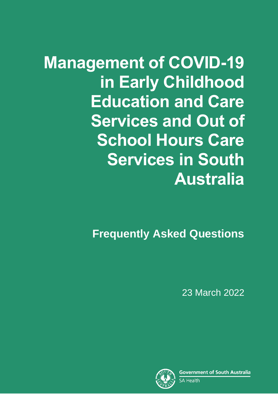**Management of COVID-19 in Early Childhood Education and Care Services and Out of School Hours Care Services in South Australia**

**Frequently Asked Questions**

23 March 2022

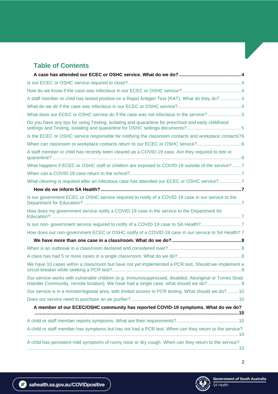# **Table of Contents**

| A staff member or child has tested positive on a Rapid Antigen Test (RAT). What do they do? 4                                                                                                   |
|-------------------------------------------------------------------------------------------------------------------------------------------------------------------------------------------------|
|                                                                                                                                                                                                 |
| What does our ECEC or OSHC service do if the case was not infectious in the service?5                                                                                                           |
| Do you have any tips for using Testing, isolating and quarantine for preschool and early childhood<br>settings and Testing, isolating and quarantine for OSHC settings documents?5              |
| Is the ECEC or OSHC service responsible for notifying the classroom contacts and workplace contacts?6                                                                                           |
| When can classroom or workplace contacts return to our ECEC or OSHC service?                                                                                                                    |
| A staff member or child has recently been cleared as a COVID-19 case. Are they required to test or                                                                                              |
| What happens if ECEC or OSHC staff or children are exposed to COVID-19 outside of the service?7                                                                                                 |
|                                                                                                                                                                                                 |
| What cleaning is required after an infectious case has attended our ECEC or OSHC service?7                                                                                                      |
|                                                                                                                                                                                                 |
| Is our government ECEC or OSHC service required to notify of a COVID-19 case in our service to the                                                                                              |
| How does my government service notify a COVID-19 case in the service to the Department for                                                                                                      |
| Is our non-government service required to notify of a COVID-19 case to SA Health?7                                                                                                              |
| How does our non-government ECEC or OSHC notify of a COVID-19 case in our service to SA Health? 7                                                                                               |
|                                                                                                                                                                                                 |
|                                                                                                                                                                                                 |
|                                                                                                                                                                                                 |
| We have 10 cases within a class/room but have not yet implemented a PCR test. Should we implement a                                                                                             |
| Our service works with vulnerable children (e.g. immunosuppressed, disabled, Aboriginal or Torres Strait<br>Islander Community, remote location). We have had a single case, what should we do? |
| Our service is in a remote/regional area, with limited access to PCR testing. What should we do?10                                                                                              |
|                                                                                                                                                                                                 |
| A member of our ECEC/OSHC community has reported COVID-19 symptoms. What do we do?                                                                                                              |
|                                                                                                                                                                                                 |
|                                                                                                                                                                                                 |
| A child or staff member has symptoms but has not had a PCR test. When can they return to the service?                                                                                           |
| A child has persistent mild symptoms of runny nose or dry cough. When can they return to the service?                                                                                           |
|                                                                                                                                                                                                 |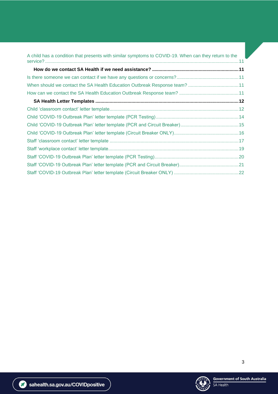| A child has a condition that presents with similar symptoms to COVID-19. When can they return to the |  |
|------------------------------------------------------------------------------------------------------|--|
|                                                                                                      |  |
|                                                                                                      |  |
| When should we contact the SA Health Education Outbreak Response team?  11                           |  |
|                                                                                                      |  |
|                                                                                                      |  |
|                                                                                                      |  |
|                                                                                                      |  |
|                                                                                                      |  |
|                                                                                                      |  |
|                                                                                                      |  |
|                                                                                                      |  |
|                                                                                                      |  |
|                                                                                                      |  |
|                                                                                                      |  |

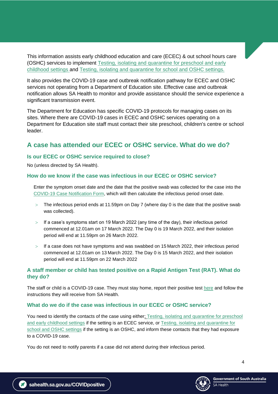This information assists early childhood education and care (ECEC) & out school hours care (OSHC) services to implement [Testing, isolating and quarantine for preschool and early](https://www.education.sa.gov.au/sites/default/files/preschool-early-childhood-settings-testing-isolating-and-qurantining-a3-placemat.pdf)  [childhood settings](https://www.education.sa.gov.au/sites/default/files/preschool-early-childhood-settings-testing-isolating-and-qurantining-a3-placemat.pdf) and [Testing, isolating and quarantine for school and OSHC settings.](https://www.education.sa.gov.au/sites/default/files/school-settings-testing-isolating-and-qurantining-a3-placemat.pdf)

It also provides the COVID-19 case and outbreak notification pathway for ECEC and OSHC services not operating from a Department of Education site. Effective case and outbreak notification allows SA Health to monitor and provide assistance should the service experience a significant transmission event.

The Department for Education has specific COVID-19 protocols for managing cases on its sites. Where there are COVID-19 cases in ECEC and OSHC services operating on a Department for Education site staff must contact their site preschool, children's centre or school leader.

# <span id="page-3-0"></span>**A case has attended our ECEC or OSHC service. What do we do?**

#### <span id="page-3-1"></span>**Is our ECEC or OSHC service required to close?**

No (unless directed by SA Health).

#### <span id="page-3-2"></span>**How do we know if the case was infectious in our ECEC or OSHC service?**

Enter the symptom onset date and the date that the positive swab was collected for the case into the [COVID-19 Case Notification](https://www.sahealth.sa.gov.au/wps/wcm/connect/public+content/sa+health+internet/conditions/infectious+diseases/covid-19/business+and+industry/childcare%2c+schools+and+higher+education+covid-19+health+advice) Form, which will then calculate the infectious period onset date.

- The infectious period ends at 11.59pm on Day 7 (where day 0 is the date that the positive swab was collected).
- $>$  If a case's symptoms start on 19 March 2022 (any time of the day), their infectious period commenced at 12.01am on 17 March 2022. The Day 0 is 19 March 2022, and their isolation period will end at 11.59pm on 26 March 2022.
- $>$  If a case does not have symptoms and was swabbed on 15 March 2022, their infectious period commenced at 12.01am on 13 March 2022. The Day 0 is 15 March 2022, and their isolation period will end at 11.59pm on 22 March 2022

## <span id="page-3-3"></span>**A staff member or child has tested positive on a Rapid Antigen Test (RAT). What do they do?**

The staff or child is a COVID-19 case. They must stay home, report their positive test [here](https://forms.sa.gov.au/#/form/61d8bc18ad9c585180ab5454/) and follow the instructions they will receive from SA Health.

## <span id="page-3-4"></span>**What do we do if the case was infectious in our ECEC or OSHC service?**

You need to identify the contacts of the case using eithe[r; Testing, isolating and quarantine for preschool](https://www.education.sa.gov.au/sites/default/files/preschool-early-childhood-settings-testing-isolating-and-qurantining-a3-placemat.pdf)  [and early childhood settings](https://www.education.sa.gov.au/sites/default/files/preschool-early-childhood-settings-testing-isolating-and-qurantining-a3-placemat.pdf) if the setting is an ECEC service, or [Testing, isolating and quarantine for](https://www.education.sa.gov.au/sites/default/files/school-settings-testing-isolating-and-qurantining-a3-placemat.pdf)  [school and OSHC settings](https://www.education.sa.gov.au/sites/default/files/school-settings-testing-isolating-and-qurantining-a3-placemat.pdf) if the setting is an OSHC, and inform these contacts that they had exposure to a COVID-19 case.

You do not need to notify parents if a case did not attend during their infectious period.

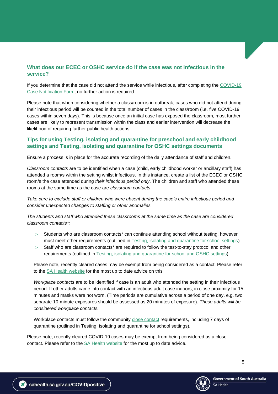## <span id="page-4-0"></span>**What does our ECEC or OSHC service do if the case was not infectious in the service?**

If you determine that the case did not attend the service while infectious, after completing the [COVID-19](https://www.sahealth.sa.gov.au/wps/wcm/connect/public+content/sa+health+internet/conditions/infectious+diseases/covid-19/business+and+industry/childcare%2c+schools+and+higher+education+covid-19+health+advice)  [Case Notification Form,](https://www.sahealth.sa.gov.au/wps/wcm/connect/public+content/sa+health+internet/conditions/infectious+diseases/covid-19/business+and+industry/childcare%2c+schools+and+higher+education+covid-19+health+advice) no further action is required.

Please note that when considering whether a class/room is in outbreak, cases who did not attend during their infectious period will be counted in the total number of cases in the class/room (i.e. five COVID-19 cases within seven days). This is because once an initial case has exposed the classroom, most further cases are likely to represent transmission within the class and earlier intervention will decrease the likelihood of requiring further public health actions.

## <span id="page-4-1"></span>**Tips for using Testing, isolating and quarantine for preschool and early childhood settings and Testing, isolating and quarantine for OSHC settings documents**

Ensure a process is in place for the accurate recording of the daily attendance of staff and children.

*Classroom contacts* are to be identified when a case (child, early childhood worker or ancillary staff) has attended a room/s within the setting whilst infectious. In this instance, create a list of the ECEC or OSHC room/s the case attended during *their infectious period only*. The children and staff who attended these rooms at the same time as the case are *classroom contacts*.

*Take care to exclude staff or children who were absent during the case's entire infectious period and consider unexpected changes to staffing or other anomalies.* 

*The students and staff who attended these classrooms at the same time as the case are considered classroom contacts\*:*

- Students who are classroom contacts\* can continue attending school without testing, however must meet other requirements (outlined in [Testing, isolating and quarantine for school settings\)](https://www.education.sa.gov.au/sites/default/files/school-settings-testing-isolating-and-qurantining-a3-placemat.pdf).
- $>$  Staff who are classroom contacts\* are required to follow the test-to-stay protocol and other requirements (outlined in [Testing, isolating and quarantine for school and OSHC settings\)](https://www.education.sa.gov.au/sites/default/files/school-settings-testing-isolating-and-qurantining-a3-placemat.pdf).

Please note, recently cleared cases may be exempt from being considered as a contact. Please refer to the [SA Health website](https://www.sahealth.sa.gov.au/wps/wcm/connect/public+content/sa+health+internet/conditions/infectious+diseases/covid-19/testing+and+tracing/close+contacts) for the most up to date advice on this

*Workplace contacts* are to be identified if case is an adult who attended the setting in their infectious period. If other adults came into contact with an infectious adult case indoors, in close proximity for 15 minutes and masks were not worn. (Time periods are cumulative across a period of one day, e.g. two separate 10-minute exposures should be assessed as 20 minutes of exposure). *These adults will be considered workplace contacts.*

Workplace contacts must follow the community [close contact](https://www.sahealth.sa.gov.au/wps/wcm/connect/public+content/sa+health+internet/conditions/infectious+diseases/covid-19/testing+and+tracing/close+contacts) requirements, including 7 days of quarantine (outlined in Testing, isolating and quarantine for school settings).

Please note, recently cleared COVID-19 cases may be exempt from being considered as a close contact. Please refer to the **SA Health website** for the most up to date advice.

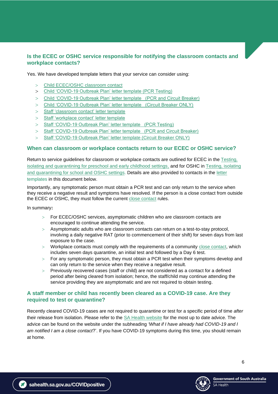## <span id="page-5-0"></span>**Is the ECEC or OSHC service responsible for notifying the classroom contacts and workplace contacts?**

Yes. We have developed template letters that your service can consider using:

- Child ECEC/OSHC classroom contact
- Child 'COVID-19 Outbreak Plan' letter template (PCR Testing)
- Child 'COVID-19 Outbreak Plan' letter template (PCR and Circuit Breaker)
- Child 'COVID-19 Outbreak Plan' letter template (Circuit Breaker ONLY)
- > [Staff 'classroom contact' letter template](#page-16-0)
- > [Staff 'workplace contact' letter template](#page-17-0)
- > Staff 'COVID-19 Outbreak Plan' letter template (PCR Testing)
- > Staff 'COVID-19 Outbreak Plan' letter template (PCR and Circuit Breaker)
- > Staff 'COVID-19 Outbreak Plan' letter template (Circuit Breaker ONLY)

#### <span id="page-5-1"></span>**When can classroom or workplace contacts return to our ECEC or OSHC service?**

Return to service guidelines for classroom or workplace contacts are outlined for ECEC in the [Testing,](https://www.education.sa.gov.au/sites/default/files/preschool-early-childhood-settings-testing-isolating-and-qurantining-a3-placemat.pdf)  [isolating and quarantining for preschool and early childhood settings,](https://www.education.sa.gov.au/sites/default/files/preschool-early-childhood-settings-testing-isolating-and-qurantining-a3-placemat.pdf) and for OSHC in Testing, isolating [and quarantining for school and OSHC settings.](https://www.education.sa.gov.au/sites/default/files/school-settings-testing-isolating-and-qurantining-a3-placemat.pdf) Details are also provided to contacts in the [letter](#page-12-0) templates in this document below.

Importantly, any symptomatic person must obtain a PCR test and can only return to the service when they receive a negative result and symptoms have resolved. If the person is a close contact from outside the ECEC or OSHC, they must follow the current [close contact](https://www.sahealth.sa.gov.au/wps/wcm/connect/public+content/sa+health+internet/conditions/infectious+diseases/covid-19/testing+and+tracing/close+contacts) rules.

In summary**:**

- For ECEC/OSHC services, asymptomatic children who are classroom contacts are encouraged to continue attending the service.
- Asymptomatic adults who are classroom contacts can return on a test-to-stay protocol, involving a daily negative RAT (prior to commencement of their shift) for seven days from last exposure to the case.
- $>$  Workplace contacts must comply with the requirements of a community [close contact,](https://www.sahealth.sa.gov.au/wps/wcm/connect/public+content/sa+health+internet/conditions/infectious+diseases/covid-19/testing+and+tracing/close+contacts) which includes seven days quarantine, an initial test and followed by a Day 6 test.
- $>$  For any symptomatic person, they must obtain a PCR test when their symptoms develop and can only return to the service when they receive a negative result.
- $>$  Previously recovered cases (staff or child) are not considered as a contact for a defined period after being cleared from isolation; hence, the staff/child may continue attending the service providing they are asymptomatic and are not required to obtain testing.

### <span id="page-5-2"></span>**A staff member or child has recently been cleared as a COVID-19 case. Are they required to test or quarantine?**

Recently cleared COVID-19 cases are not required to quarantine or test for a specific period of time *after* their release from isolation. Please refer to the [SA Health website](https://www.sahealth.sa.gov.au/wps/wcm/connect/public+content/sa+health+internet/conditions/infectious+diseases/covid-19/testing+and+tracing/close+contacts) for the most up to date advice. The advice can be found on the website under the subheading *'What if I have already had COVID-19 and I am notified I am a close contact*?'. If you have COVID-19 symptoms during this time, you should remain at home.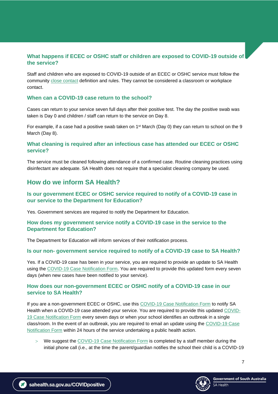## <span id="page-6-0"></span>**What happens if ECEC or OSHC staff or children are exposed to COVID-19 outside of the service?**

Staff and children who are exposed to COVID-19 outside of an ECEC or OSHC service must follow the community [close contact](https://www.sahealth.sa.gov.au/wps/wcm/connect/public+content/sa+health+internet/conditions/infectious+diseases/covid-19/testing+and+tracing/close+contacts) definition and rules. They cannot be considered a classroom or workplace contact.

#### <span id="page-6-1"></span>**When can a COVID-19 case return to the school?**

Cases can return to your service seven full days after their positive test. The day the positive swab was taken is Day 0 and children / staff can return to the service on Day 8.

For example, if a case had a positive swab taken on 1<sup>st</sup> March (Day 0) they can return to school on the 9 March (Day 8).

#### <span id="page-6-2"></span>**What cleaning is required after an infectious case has attended our ECEC or OSHC service?**

The service must be cleaned following attendance of a confirmed case. Routine cleaning practices using disinfectant are adequate. SA Health does not require that a specialist cleaning company be used.

## <span id="page-6-3"></span>**How do we inform SA Health?**

### <span id="page-6-4"></span>**Is our government ECEC or OSHC service required to notify of a COVID-19 case in our service to the Department for Education?**

Yes. Government services are required to notify the Department for Education.

#### <span id="page-6-5"></span>**How does my government service notify a COVID-19 case in the service to the Department for Education?**

The Department for Education will inform services of their notification process.

#### <span id="page-6-6"></span>**Is our non- government service required to notify of a COVID-19 case to SA Health?**

Yes. If a COVID-19 case has been in your service, you are required to provide an update to SA Health using the [COVID-19 Case Notification Form.](https://www.sahealth.sa.gov.au/wps/wcm/connect/public+content/sa+health+internet/conditions/infectious+diseases/covid-19/business+and+industry/childcare%2c+schools+and+higher+education+covid-19+health+advice) You are required to provide this updated form every seven days (when new cases have been notified to your service).

#### <span id="page-6-7"></span>**How does our non-government ECEC or OSHC notify of a COVID-19 case in our service to SA Health?**

If you are a non-government ECEC or OSHC, use this COVID-19 Case [Notification Form](https://www.sahealth.sa.gov.au/wps/wcm/connect/public+content/sa+health+internet/conditions/infectious+diseases/covid-19/business+and+industry/childcare%2c+schools+and+higher+education+covid-19+health+advice) to notify SA Health when a COVID-19 case attended your service. You are required to provide this updated [COVID-](https://www.sahealth.sa.gov.au/wps/wcm/connect/public+content/sa+health+internet/conditions/infectious+diseases/covid-19/business+and+industry/childcare%2c+schools+and+higher+education+covid-19+health+advice)[19 Case Notification Form](https://www.sahealth.sa.gov.au/wps/wcm/connect/public+content/sa+health+internet/conditions/infectious+diseases/covid-19/business+and+industry/childcare%2c+schools+and+higher+education+covid-19+health+advice) every seven days or when your school identifies an outbreak in a single class/room. In the event of an outbreak, you are required to email an update using the [COVID-19 Case](https://www.sahealth.sa.gov.au/wps/wcm/connect/public+content/sa+health+internet/conditions/infectious+diseases/covid-19/business+and+industry/childcare%2c+schools+and+higher+education+covid-19+health+advice)  [Notification Form](https://www.sahealth.sa.gov.au/wps/wcm/connect/public+content/sa+health+internet/conditions/infectious+diseases/covid-19/business+and+industry/childcare%2c+schools+and+higher+education+covid-19+health+advice) within 24 hours of the service undertaking a public health action.

We suggest the [COVID-19 Case Notification Form](https://www.sahealth.sa.gov.au/wps/wcm/connect/public+content/sa+health+internet/conditions/infectious+diseases/covid-19/business+and+industry/childcare%2c+schools+and+higher+education+covid-19+health+advice) is completed by a staff member during the initial phone call (i.e., at the time the parent/guardian notifies the school their child is a COVID-19

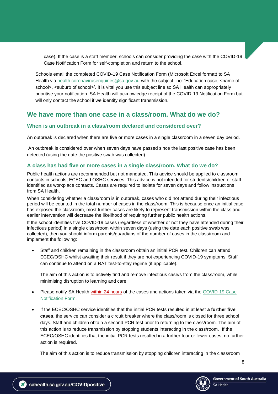case). If the case is a staff member, schools can consider providing the case with the COVID-19 Case Notification Form for self-completion and return to the school.

Schools email the completed COVID-19 Case Notification Form (Microsoft Excel format) to SA Health via [health.coronavirusenquiries@sa.gov.au](mailto:health.coronavirusenquiries@sa.gov.au) with the subject line: 'Education case, <name of school>, <suburb of school>'. It is vital you use this subject line so SA Health can appropriately prioritise your notification. SA Health will acknowledge receipt of the COVID-19 Notification Form but will only contact the school if we identify significant transmission.

# <span id="page-7-0"></span>**We have more than one case in a class/room. What do we do?**

#### <span id="page-7-1"></span>**When is an outbreak in a class/room declared and considered over?**

An outbreak is declared when there are five or more cases in a single classroom in a seven day period.

An outbreak is considered over when seven days have passed since the last positive case has been detected (using the date the positive swab was collected).

#### <span id="page-7-2"></span>**A class has had five or more cases in a single class/room. What do we do?**

Public health actions are recommended but not mandated. This advice should be applied to classroom contacts in schools, ECEC and OSHC services. This advice is not intended for students/children or staff identified as workplace contacts. Cases are required to isolate for seven days and follow instructions from SA Health.

When considering whether a class/room is in outbreak, cases who did not attend during their infectious period will be counted in the total number of cases in the class/room. This is because once an initial case has exposed the classroom, most further cases are likely to represent transmission within the class and earlier intervention will decrease the likelihood of requiring further public health actions.

If the school identifies five COVID-19 cases (regardless of whether or not they have attended during their infectious period) in a single class/room within seven days (using the date each positive swab was collected), then you should inform parents/guardians of the number of cases in the class/room and implement the following:

• Staff and children remaining in the class/room obtain an initial PCR test. Children can attend ECEC/OSHC whilst awaiting their result if they are not experiencing COVID-19 symptoms. Staff can continue to attend on a RAT test-to-stay regime (if applicable).

The aim of this action is to actively find and remove infectious case/s from the class/room, while minimising disruption to learning and care.

- Please notify SA Health within 24 hours of the cases and actions taken via the COVID-19 Case [Notification Form.](https://www.sahealth.sa.gov.au/wps/wcm/connect/public+content/sa+health+internet/conditions/infectious+diseases/covid-19/business+and+industry/childcare%2c+schools+and+higher+education+covid-19+health+advice)
- If the ECEC/OSHC service identifies that the initial PCR tests resulted in at least **a further five cases**, the service can consider a circuit breaker where the class/room is closed for three school days. Staff and children obtain a second PCR test prior to returning to the class/room. The aim of this action is to reduce transmission by stopping students interacting in the class/room. If the ECEC/OSHC identifies that the initial PCR tests resulted in a further four or fewer cases, no further action is required.

The aim of this action is to reduce transmission by stopping children interacting in the class/room

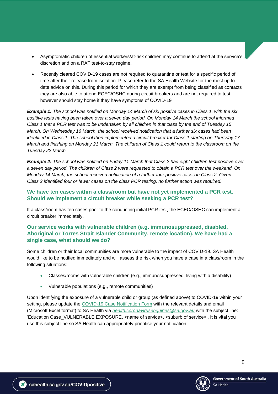- Asymptomatic children of essential workers/at-risk children may continue to attend at the service's discretion and on a RAT test-to-stay regime.
- Recently cleared COVID-19 cases are not required to quarantine or test for a specific period of time after their release from isolation. Please refer to the [SA Health Website](https://www.sahealth.sa.gov.au/wps/wcm/connect/public+content/sa+health+internet/conditions/infectious+diseases/covid-19/testing+and+tracing/close+contacts) for the most up to date advice on this. During this period for which they are exempt from being classified as contacts they are also able to attend ECEC/OSHC during circuit breakers and are not required to test, however should stay home if they have symptoms of COVID-19

*Example 1: The school was notified on Monday 14 March of six positive cases in Class 1, with the six positive tests having been taken over a seven day period. On Monday 14 March the school informed Class 1 that a PCR test was to be undertaken by all children in that class by the end of Tuesday 15 March. On Wednesday 16 March, the school received notification that a further six cases had been identified in Class 1. The school then implemented a circuit breaker for Class 1 starting on Thursday 17 March and finishing on Monday 21 March. The children of Class 1 could return to the classroom on the Tuesday 22 March.*

*Example 2: The school was notified on Friday 11 March that Class 2 had eight children test positive over a seven day period. The children of Class 2 were requested to obtain a PCR test over the weekend. On Monday 14 March, the school received notification of a further four positive cases in Class 2. Given Class 2 identified four or fewer cases on the class PCR testing, no further action was required.*

## <span id="page-8-0"></span>**We have ten cases within a class/room but have not yet implemented a PCR test. Should we implement a circuit breaker while seeking a PCR test?**

If a class/room has ten cases prior to the conducting initial PCR test, the ECEC/OSHC can implement a circuit breaker immediately.

## <span id="page-8-1"></span>**Our service works with vulnerable children (e.g. immunosuppressed, disabled, Aboriginal or Torres Strait Islander Community, remote location). We have had a single case, what should we do?**

Some children or their local communities are more vulnerable to the impact of COVID-19. SA Health would like to be notified immediately and will assess the risk when you have a case in a class/room in the following situations:

- Classes/rooms with vulnerable children (e.g., immunosuppressed, living with a disability)
- Vulnerable populations (e.g., remote communities)

Upon identifying the exposure of a vulnerable child or group (as defined above) to COVID-19 within your setting, please update the [COVID-19 Case Notification Form](https://www.sahealth.sa.gov.au/wps/wcm/connect/public+content/sa+health+internet/conditions/infectious+diseases/covid-19/business+and+industry/childcare%2c+schools+and+higher+education+covid-19+health+advice) with the relevant details and email (Microsoft Excel format) to SA Health via *[health.coronavirusenquiries@sa.gov.au](mailto:health.coronavirusenquiries@sa.gov.au)* with the subject line: 'Education Case\_VULNERABLE EXPOSURE, <name of service>, <suburb of service>'. It is vital you use this subject line so SA Health can appropriately prioritise your notification.

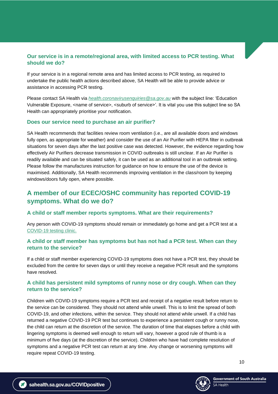## <span id="page-9-0"></span>**Our service is in a remote/regional area, with limited access to PCR testing. What should we do?**

If your service is in a regional remote area and has limited access to PCR testing, as required to undertake the public health actions described above, SA Health will be able to provide advice or assistance in accessing PCR testing.

Please contact SA Health via *[health.coronavirusenquiries@sa.gov.au](mailto:health.coronavirusenquiries@sa.gov.au)* with the subject line: 'Education Vulnerable Exposure, <name of service>, <suburb of service>'. It is vital you use this subject line so SA Health can appropriately prioritise your notification.

#### <span id="page-9-1"></span>**Does our service need to purchase an air purifier?**

SA Health recommends that facilities review room ventilation (i.e., are all available doors and windows fully open, as appropriate for weather) and consider the use of an Air Purifier with HEPA filter in outbreak situations for seven days after the last positive case was detected. However, the evidence regarding how effectively Air Purifiers decrease transmission in COVID outbreaks is still unclear. If an Air Purifier is readily available and can be situated safely, it can be used as an additional tool in an outbreak setting. Please follow the manufactures instruction for guidance on how to ensure the use of the device is maximised. Additionally, SA Health recommends improving ventilation in the class/room by keeping windows/doors fully open, where possible.

# <span id="page-9-2"></span>**A member of our ECEC/OSHC community has reported COVID-19 symptoms. What do we do?**

#### <span id="page-9-3"></span>**A child or staff member reports symptoms. What are their requirements?**

Any person with COVID-19 symptoms should remain or immediately go home and get a PCR test at a [COVID-19 testing clinic.](https://www.sahealth.sa.gov.au/wps/wcm/connect/public+content/sa+health+internet/conditions/infectious+diseases/covid-19/testing+and+tracing/covid-19+clinics+and+testing+centres/covid-19+clinics+and+testing+centres)

### <span id="page-9-4"></span>**A child or staff member has symptoms but has not had a PCR test. When can they return to the service?**

If a child or staff member experiencing COVID-19 symptoms does not have a PCR test, they should be excluded from the centre for seven days or until they receive a negative PCR result and the symptoms have resolved.

### <span id="page-9-5"></span>**A child has persistent mild symptoms of runny nose or dry cough. When can they return to the service?**

Children with COVID-19 symptoms require a PCR test and receipt of a negative result before return to the service can be considered. They should not attend while unwell. This is to limit the spread of both COVID-19, and other infections, within the service. They should not attend while unwell. If a child has returned a negative COVID-19 PCR test but continues to experience a persistent cough or runny nose, the child can return at the discretion of the service. The duration of time that elapses before a child with lingering symptoms is deemed well enough to return will vary, however a good rule of thumb is a minimum of five days (at the discretion of the service). Children who have had complete resolution of symptoms and a negative PCR test can return at any time. Any change or worsening symptoms will require repeat COVID-19 testing.

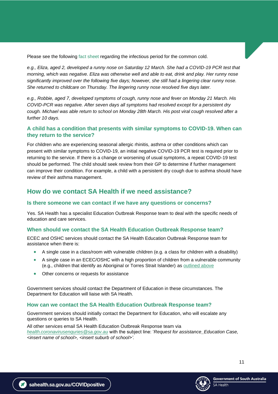Please see the following [fact sheet](https://www.sahealth.sa.gov.au/wps/wcm/connect/public+content/sa+health+internet/conditions/infectious+diseases/common+cold/common+cold+-+including+symptoms+treatment+and+prevention) regarding the infectious period for the common cold.

*e.g., Eliza, aged 2, developed a runny nose on Saturday 12 March. She had a COVID-19 PCR test that morning, which was negative. Eliza was otherwise well and able to eat, drink and play. Her runny nose significantly improved over the following five days; however, she still had a lingering clear runny nose. She returned to childcare on Thursday. The lingering runny nose resolved five days later.*

*e.g., Robbie, aged 7, developed symptoms of cough, runny nose and fever on Monday 21 March. His COVID-PCR was negative. After seven days all symptoms had resolved except for a persistent dry cough. Michael was able return to school on Monday 28th March. His post viral cough resolved after a further 10 days.*

#### <span id="page-10-0"></span>**A child has a condition that presents with similar symptoms to COVID-19. When can they return to the service?**

For children who are experiencing seasonal allergic rhinitis, asthma or other conditions which can present with similar symptoms to COVID-19, an initial negative COVID-19 PCR test is required prior to returning to the service. If there is a change or worsening of usual symptoms, a repeat COVID-19 test should be performed. The child should seek review from their GP to determine if further management can improve their condition. For example, a child with a persistent dry cough due to asthma should have review of their asthma management.

## <span id="page-10-1"></span>**How do we contact SA Health if we need assistance?**

#### <span id="page-10-2"></span>**Is there someone we can contact if we have any questions or concerns?**

Yes. SA Health has a specialist Education Outbreak Response team to deal with the specific needs of education and care services.

#### <span id="page-10-3"></span>**When should we contact the SA Health Education Outbreak Response team?**

ECEC and OSHC services should contact the SA Health Education Outbreak Response team for assistance when there is:

- A single case in a class/room with vulnerable children (e.g. a class for children with a disability)
- A single case in an ECEC/OSHC with a high proportion of children from a vulnerable community (e.g., children that identify as Aboriginal or Torres Strait Islander) as outlined above
- Other concerns or requests for assistance

Government services should contact the Department of Education in these circumstances. The Department for Education will liaise with SA Health.

#### <span id="page-10-4"></span>**How can we contact the SA Health Education Outbreak Response team?**

Government services should initially contact the Department for Education, who will escalate any questions or queries to SA Health.

All other services email SA Health Education Outbreak Response team via *[health.coronavirusenquries@sa.gov.au](mailto:health.coronavirusenquries@sa.gov.au)* with the subject line: '*Request for assistance\_Education Case, <insert name of school>, <insert suburb of school>'.*



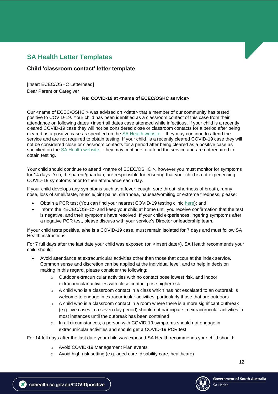# <span id="page-11-0"></span>**SA Health Letter Templates**

## <span id="page-11-1"></span>**Child 'classroom contact' letter template**

[Insert ECEC/OSHC Letterhead] Dear Parent or Caregiver

#### **Re: COVID-19 at <name of ECEC/OSHC service>**

Our <name of ECEC/OSHC > was advised on <date> that a member of our community has tested positive to COVID-19. Your child has been identified as a classroom contact of this case from their attendance on following dates <insert all dates case attended while infectious. If your child is a recently cleared COVID-19 case they will not be considered close or classroom contacts for a period after being cleared as a positive case as specified on the [SA Health website](https://www.sahealth.sa.gov.au/wps/wcm/connect/public+content/sa+health+internet/conditions/infectious+diseases/covid-19/testing+and+tracing/close+contacts) – they may continue to attend the service and are not required to obtain testing. If your child is a recently cleared COVID-19 case they will not be considered close or classroom contacts for a period after being cleared as a positive case as specified on the [SA Health website](https://www.sahealth.sa.gov.au/wps/wcm/connect/public+content/sa+health+internet/conditions/infectious+diseases/covid-19/testing+and+tracing/close+contacts) – they may continue to attend the service and are not required to obtain testing.

Your child should continue to attend <name of ECEC/OSHC >, however you must monitor for symptoms for 14 days. You, the parent/guardian, are responsible for ensuring that your child is not experiencing COVID-19 symptoms prior to their attendance each day.

If your child develops any symptoms such as a fever, cough, sore throat, shortness of breath, runny nose, loss of smell/taste, muscle/joint pains, diarrhoea, nausea/vomiting or extreme tiredness, please:

- Obtain a PCR test (You can find your nearest COVID-19 testing clinic [here\)](https://www.sahealth.sa.gov.au/wps/wcm/connect/public+content/sa+health+internet/conditions/infectious+diseases/covid-19/testing+and+tracing/covid-19+clinics+and+testing+centres/covid-19+clinics+and+testing+centres); and
- Inform the <ECEC/OSHC> and keep your child at home until you receive confirmation that the test is negative, and their symptoms have resolved. If your child experiences lingering symptoms after a negative PCR test, please discuss with your service's Director or leadership team.

If your child tests positive, s/he is a COVID-19 case, must remain isolated for 7 days and must follow SA Health instructions.

For 7 full days after the last date your child was exposed (on <insert date>), SA Health recommends your child should:

- Avoid attendance at extracurricular activities other than those that occur at the index service. Common sense and discretion can be applied at the individual level, and to help in decision making in this regard, please consider the following:
	- $\circ$  Outdoor extracurricular activities with no contact pose lowest risk, and indoor extracurricular activities with close contact pose higher risk
	- $\circ$  A child who is a classroom contact in a class which has not escalated to an outbreak is welcome to engage in extracurricular activities, particularly those that are outdoors
	- $\circ$  A child who is a classroom contact in a room where there is a more significant outbreak (e.g. five cases in a seven day period) should not participate in extracurricular activities in most instances until the outbreak has been contained
	- $\circ$  In all circumstances, a person with COVID-19 symptoms should not engage in extracurricular activities and should get a COVID-19 PCR test

For 14 full days after the last date your child was exposed SA Health recommends your child should:

- o Avoid COVID-19 Management Plan events
- o Avoid high-risk setting (e.g. aged care, disability care, healthcare)

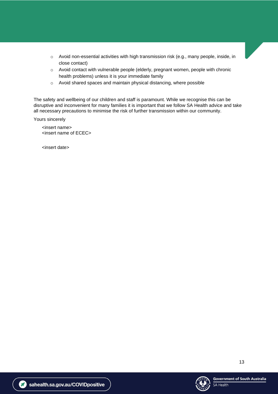- $\circ$  Avoid non-essential activities with high transmission risk (e.g., many people, inside, in close contact)
- o Avoid contact with vulnerable people (elderly, pregnant women, people with chronic health problems) unless it is your immediate family
- o Avoid shared spaces and maintain physical distancing, where possible

The safety and wellbeing of our children and staff is paramount. While we recognise this can be disruptive and inconvenient for many families it is important that we follow SA Health advice and take all necessary precautions to minimise the risk of further transmission within our community.

Yours sincerely

<insert name> <insert name of ECEC>

<span id="page-12-0"></span><insert date>

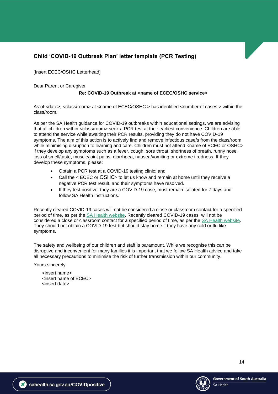# <span id="page-13-0"></span>**Child 'COVID-19 Outbreak Plan' letter template (PCR Testing)**

[Insert ECEC/OSHC Letterhead]

Dear Parent or Caregiver

#### **Re: COVID-19 Outbreak at <name of ECEC/OSHC service>**

As of <date>, <class/room> at <name of ECEC/OSHC > has identified <number of cases > within the class/room.

As per the SA Health guidance for COVID-19 outbreaks within educational settings, we are advising that all children within <class/room> seek a PCR test at their earliest convenience. Children are able to attend the service while awaiting their PCR results, providing they do not have COVID-19 symptoms. The aim of this action is to actively find and remove infectious case/s from the class/room while minimising disruption to learning and care. Children must not attend <name of ECEC or OSHC> if they develop any symptoms such as a fever, cough, sore throat, shortness of breath, runny nose, loss of smell/taste, muscle/joint pains, diarrhoea, nausea/vomiting or extreme tiredness. If they develop these symptoms, please:

- Obtain a PCR test at a COVID-19 testing clinic; and
- Call the < ECEC or OSHC> to let us know and remain at home until they receive a negative PCR test result, and their symptoms have resolved.
- If they test positive, they are a COVID-19 case, must remain isolated for 7 days and follow SA Health instructions.

Recently cleared COVID-19 cases will not be considered a close or classroom contact for a specified period of time, as per the [SA Health website.](https://www.sahealth.sa.gov.au/wps/wcm/connect/public+content/sa+health+internet/conditions/infectious+diseases/covid-19/testing+and+tracing/close+contacts) Recently cleared COVID-19 cases will not be considered a close or classroom contact for a specified period of time, as per the [SA Health website.](https://www.sahealth.sa.gov.au/wps/wcm/connect/public+content/sa+health+internet/conditions/infectious+diseases/covid-19/testing+and+tracing/close+contacts) They should not obtain a COVID-19 test but should stay home if they have any cold or flu like symptoms.

The safety and wellbeing of our children and staff is paramount. While we recognise this can be disruptive and inconvenient for many families it is important that we follow SA Health advice and take all necessary precautions to minimise the risk of further transmission within our community.

Yours sincerely

<insert name> <insert name of ECEC> <insert date>



14

sahealth.sa.gov.au/COVIDpositive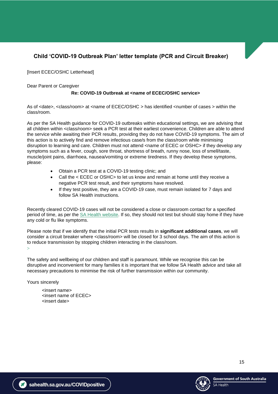# <span id="page-14-0"></span>**Child 'COVID-19 Outbreak Plan' letter template (PCR and Circuit Breaker)**

[Insert ECEC/OSHC Letterhead]

Dear Parent or Caregiver

### **Re: COVID-19 Outbreak at <name of ECEC/OSHC service>**

As of <date>, <class/room> at <name of ECEC/OSHC > has identified <number of cases > within the class/room.

As per the SA Health guidance for COVID-19 outbreaks within educational settings, we are advising that all children within <class/room> seek a PCR test at their earliest convenience. Children are able to attend the service while awaiting their PCR results, providing they do not have COVID-19 symptoms. The aim of this action is to actively find and remove infectious case/s from the class/room while minimising disruption to learning and care. Children must not attend <name of ECEC or OSHC> if they develop any symptoms such as a fever, cough, sore throat, shortness of breath, runny nose, loss of smell/taste, muscle/joint pains, diarrhoea, nausea/vomiting or extreme tiredness. If they develop these symptoms, please:

- Obtain a PCR test at a COVID-19 testing clinic; and
- Call the < ECEC or OSHC> to let us know and remain at home until they receive a negative PCR test result, and their symptoms have resolved.
- If they test positive, they are a COVID-19 case, must remain isolated for 7 days and follow SA Health instructions.

Recently cleared COVID-19 cases will not be considered a close or classroom contact for a specified period of time, as per the [SA Health website.](https://www.sahealth.sa.gov.au/wps/wcm/connect/public+content/sa+health+internet/conditions/infectious+diseases/covid-19/testing+and+tracing/close+contacts) If so, they should not test but should stay home if they have any cold or flu like symptoms.

Please note that if we identify that the initial PCR tests results in **significant additional cases**, we will consider a circuit breaker where <class/room> will be closed for 3 school days. The aim of this action is to reduce transmission by stopping children interacting in the class/room.  $\mathbf{I}$ 

The safety and wellbeing of our children and staff is paramount. While we recognise this can be disruptive and inconvenient for many families it is important that we follow SA Health advice and take all necessary precautions to minimise the risk of further transmission within our community.

Yours sincerely

<insert name> <insert name of ECEC> <insert date>

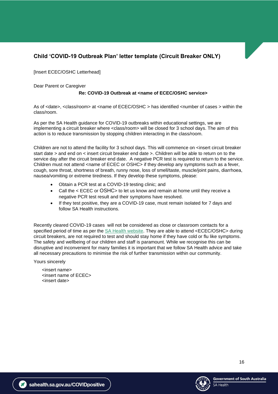# <span id="page-15-0"></span>**Child 'COVID-19 Outbreak Plan' letter template (Circuit Breaker ONLY)**

[Insert ECEC/OSHC Letterhead]

Dear Parent or Caregiver

#### **Re: COVID-19 Outbreak at <name of ECEC/OSHC service>**

As of <date>, <class/room> at <name of ECEC/OSHC > has identified <number of cases > within the class/room.

As per the SA Health guidance for COVID-19 outbreaks within educational settings, we are implementing a circuit breaker where <class/room> will be closed for 3 school days. The aim of this action is to reduce transmission by stopping children interacting in the class/room.

Children are not to attend the facility for 3 school days. This will commence on <insert circuit breaker start date > and end on < insert circuit breaker end date >. Children will be able to return on to the service day after the circuit breaker end date. A negative PCR test is required to return to the service. Children must not attend <name of ECEC or OSHC> if they develop any symptoms such as a fever, cough, sore throat, shortness of breath, runny nose, loss of smell/taste, muscle/joint pains, diarrhoea, nausea/vomiting or extreme tiredness. If they develop these symptoms, please:

- Obtain a PCR test at a COVID-19 testing clinic; and
- Call the < ECEC or OSHC> to let us know and remain at home until they receive a negative PCR test result and their symptoms have resolved.
- If they test positive, they are a COVID-19 case, must remain isolated for 7 days and follow SA Health instructions.

Recently cleared COVID-19 cases will not be considered as close or classroom contacts for a specified period of time as per the [SA Health website.](https://www.sahealth.sa.gov.au/wps/wcm/connect/public+content/sa+health+internet/conditions/infectious+diseases/covid-19/testing+and+tracing/close+contacts) They are able to attend <ECEC/OSHC> during circuit breakers, are not required to test and should stay home if they have cold or flu like symptoms. The safety and wellbeing of our children and staff is paramount. While we recognise this can be disruptive and inconvenient for many families it is important that we follow SA Health advice and take all necessary precautions to minimise the risk of further transmission within our community.

Yours sincerely

<insert name> <insert name of ECEC> <insert date>

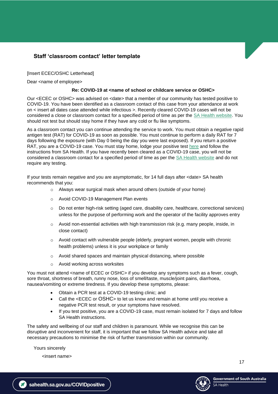## <span id="page-16-0"></span>**Staff 'classroom contact' letter template**

[Insert ECEC/OSHC Letterhead]

Dear <name of employee>

#### **Re: COVID-19 at <name of school or childcare service or OSHC>**

Our <ECEC or OSHC> was advised on <date> that a member of our community has tested positive to COVID-19. You have been identified as a classroom contact of this case from your attendance at work on < insert all dates case attended while infectious >. Recently cleared COVID-19 cases will not be considered a close or classroom contact for a specified period of time as per the [SA Health website.](https://www.sahealth.sa.gov.au/wps/wcm/connect/public+content/sa+health+internet/conditions/infectious+diseases/covid-19/testing+and+tracing/close+contacts) You should not test but should stay home if they have any cold or flu like symptoms.

As a classroom contact you can continue attending the service to work. You must obtain a negative rapid antigen test (RAT) for COVID-19 as soon as possible. You must continue to perform a daily RAT for 7 days following the exposure (with Day 0 being the day you were last exposed). If you return a positive RAT, you are a COVID-19 case. You must stay home, lodge your positive test [here](https://forms.sa.gov.au/#/form/61d8bc18ad9c585180ab5454/) and follow the instructions from SA Health. If you have recently been cleared as a COVID-19 case, you will not be considered a classroom contact for a specified period of time as per the [SA Health website](https://www.sahealth.sa.gov.au/wps/wcm/connect/public+content/sa+health+internet/conditions/infectious+diseases/covid-19/testing+and+tracing/close+contacts) and do not require any testing.

If your tests remain negative and you are asymptomatic, for 14 full days after <date> SA health recommends that you:

- o Always wear surgical mask when around others (outside of your home)
- o Avoid COVID-19 Management Plan events
- $\circ$  Do not enter high-risk setting (aged care, disability care, healthcare, correctional services) unless for the purpose of performing work and the operator of the facility approves entry
- $\circ$  Avoid non-essential activities with high transmission risk (e.g. many people, inside, in close contact)
- $\circ$  Avoid contact with vulnerable people (elderly, pregnant women, people with chronic health problems) unless it is your workplace or family
- o Avoid shared spaces and maintain physical distancing, where possible
- o Avoid working across worksites

You must not attend <name of ECEC or OSHC> if you develop any symptoms such as a fever, cough, sore throat, shortness of breath, runny nose, loss of smell/taste, muscle/joint pains, diarrhoea, nausea/vomiting or extreme tiredness. If you develop these symptoms, please:

- Obtain a PCR test at a COVID-19 testing clinic; and
- Call the <ECEC or OSHC> to let us know and remain at home until you receive a negative PCR test result, or your symptoms have resolved.
- If you test positive, you are a COVID-19 case, must remain isolated for 7 days and follow SA Health instructions.

The safety and wellbeing of our staff and children is paramount. While we recognise this can be disruptive and inconvenient for staff, it is important that we follow SA Health advice and take all necessary precautions to minimise the risk of further transmission within our community.

Yours sincerely

<insert name>

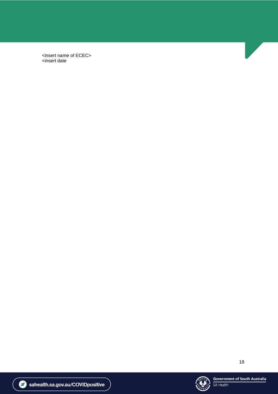<span id="page-17-0"></span><insert name of ECEC> <insert date





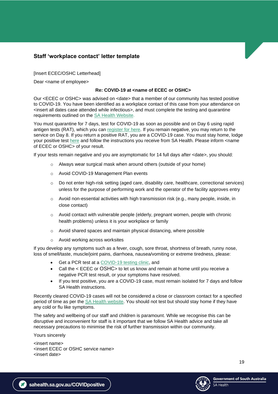## <span id="page-18-0"></span>**Staff 'workplace contact' letter template**

[Insert ECEC/OSHC Letterhead]

Dear <name of employee>

#### **Re: COVID-19 at <name of ECEC or OSHC>**

Our <ECEC or OSHC> was advised on <date> that a member of our community has tested positive to COVID-19. You have been identified as a workplace contact of this case from your attendance on <insert all dates case attended while infectious>, and must complete the testing and quarantine requirements outlined on the [SA Health Website.](https://www.sahealth.sa.gov.au/wps/wcm/connect/public+content/sa+health+internet/conditions/infectious+diseases/covid-19/testing+and+tracing/close+contacts)

You must quarantine for 7 days, test for COVID-19 as soon as possible and on Day 6 using rapid antigen tests (RAT), which you can [register for here.](https://www.sahealth.sa.gov.au/wps/wcm/connect/public+content/sa+health+internet/conditions/infectious+diseases/covid-19/testing+and+tracing/rapid+antigen+testing+rat+for+covid-19) If you remain negative, you may return to the service on Day 8. If you return a positive RAT, you are a COVID-19 case. You must stay home, lodge your positive test [here](https://forms.sa.gov.au/#/form/61d8bc18ad9c585180ab5454/) and follow the instructions you receive from SA Health. Please inform <name of ECEC or OSHC> of your result.

If your tests remain negative and you are asymptomatic for 14 full days after <date>, you should:

- o Always wear surgical mask when around others (outside of your home)
- o Avoid COVID-19 Management Plan events
- $\circ$  Do not enter high-risk setting (aged care, disability care, healthcare, correctional services) unless for the purpose of performing work and the operator of the facility approves entry
- $\circ$  Avoid non-essential activities with high transmission risk (e.g., many people, inside, in close contact)
- $\circ$  Avoid contact with vulnerable people (elderly, pregnant women, people with chronic health problems) unless it is your workplace or family
- o Avoid shared spaces and maintain physical distancing, where possible
- o Avoid working across worksites

If you develop any symptoms such as a fever, cough, sore throat, shortness of breath, runny nose, loss of smell/taste, muscle/joint pains, diarrhoea, nausea/vomiting or extreme tiredness, please:

- Get a PCR test at a [COVID-19 testing clinic,](https://www.sahealth.sa.gov.au/wps/wcm/connect/public+content/sa+health+internet/conditions/infectious+diseases/covid-19/testing+and+tracing/covid-19+clinics+and+testing+centres/covid-19+clinics+and+testing+centres) and
- Call the < ECEC or OSHC> to let us know and remain at home until you receive a negative PCR test result, or your symptoms have resolved.
- If you test positive, you are a COVID-19 case, must remain isolated for 7 days and follow SA Health instructions.

Recently cleared COVID-19 cases will not be considered a close or classroom contact for a specified period of time as per the [SA Health website.](https://www.sahealth.sa.gov.au/wps/wcm/connect/public+content/sa+health+internet/conditions/infectious+diseases/covid-19/testing+and+tracing/close+contacts) You should not test but should stay home if they have any cold or flu like symptoms.

The safety and wellbeing of our staff and children is paramount. While we recognise this can be disruptive and inconvenient for staff is it important that we follow SA Health advice and take all necessary precautions to minimise the risk of further transmission within our community.

Yours sincerely

<insert name> <insert ECEC or OSHC service name> <insert date>

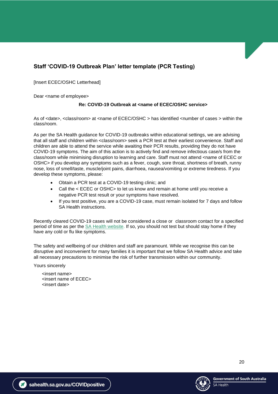# <span id="page-19-0"></span>**Staff 'COVID-19 Outbreak Plan' letter template (PCR Testing)**

[Insert ECEC/OSHC Letterhead]

Dear <name of employee>

#### **Re: COVID-19 Outbreak at <name of ECEC/OSHC service>**

As of <date>, <class/room> at <name of ECEC/OSHC > has identified <number of cases > within the class/room.

As per the SA Health guidance for COVID-19 outbreaks within educational settings, we are advising that all staff and children within <class/room> seek a PCR test at their earliest convenience. Staff and children are able to attend the service while awaiting their PCR results, providing they do not have COVID-19 symptoms. The aim of this action is to actively find and remove infectious case/s from the class/room while minimising disruption to learning and care. Staff must not attend <name of ECEC or OSHC> if you develop any symptoms such as a fever, cough, sore throat, shortness of breath, runny nose, loss of smell/taste, muscle/joint pains, diarrhoea, nausea/vomiting or extreme tiredness. If you develop these symptoms, please:

- Obtain a PCR test at a COVID-19 testing clinic; and
- Call the < ECEC or OSHC> to let us know and remain at home until you receive a negative PCR test result or your symptoms have resolved.
- If you test positive, you are a COVID-19 case, must remain isolated for 7 days and follow SA Health instructions.

Recently cleared COVID-19 cases will not be considered a close or classroom contact for a specified period of time as per the [SA Health website.](https://www.sahealth.sa.gov.au/wps/wcm/connect/public+content/sa+health+internet/conditions/infectious+diseases/covid-19/testing+and+tracing/close+contacts) If so, you should not test but should stay home if they have any cold or flu like symptoms.

The safety and wellbeing of our children and staff are paramount. While we recognise this can be disruptive and inconvenient for many families it is important that we follow SA Health advice and take all necessary precautions to minimise the risk of further transmission within our community.

Yours sincerely

<insert name> <insert name of ECEC> <insert date>

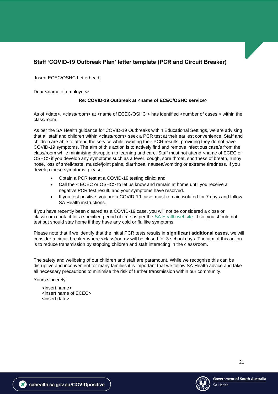# <span id="page-20-0"></span>**Staff 'COVID-19 Outbreak Plan' letter template (PCR and Circuit Breaker)**

[Insert ECEC/OSHC Letterhead]

Dear <name of employee>

#### **Re: COVID-19 Outbreak at <name of ECEC/OSHC service>**

As of <date>, <class/room> at <name of ECEC/OSHC > has identified <number of cases > within the class/room.

As per the SA Health guidance for COVID-19 Outbreaks within Educational Settings, we are advising that all staff and children within <class/room> seek a PCR test at their earliest convenience. Staff and children are able to attend the service while awaiting their PCR results, providing they do not have COVID-19 symptoms. The aim of this action is to actively find and remove infectious case/s from the class/room while minimising disruption to learning and care. Staff must not attend <name of ECEC or OSHC> if you develop any symptoms such as a fever, cough, sore throat, shortness of breath, runny nose, loss of smell/taste, muscle/joint pains, diarrhoea, nausea/vomiting or extreme tiredness. If you develop these symptoms, please:

- Obtain a PCR test at a COVID-19 testing clinic; and
- Call the < ECEC or OSHC> to let us know and remain at home until you receive a negative PCR test result, and your symptoms have resolved.
- If you test positive, you are a COVID-19 case, must remain isolated for 7 days and follow SA Health instructions.

If you have recently been cleared as a COVID-19 case, you will not be considered a close or classroom contact for a specified period of time as per the [SA Health website.](https://www.sahealth.sa.gov.au/wps/wcm/connect/public+content/sa+health+internet/conditions/infectious+diseases/covid-19/testing+and+tracing/close+contacts) If so, you should not test but should stay home if they have any cold or flu like symptoms.

Please note that if we identify that the initial PCR tests results in **significant additional cases**, we will consider a circuit breaker where <class/room> will be closed for 3 school days. The aim of this action is to reduce transmission by stopping children and staff interacting in the class/room.

The safety and wellbeing of our children and staff are paramount. While we recognise this can be disruptive and inconvenient for many families it is important that we follow SA Health advice and take all necessary precautions to minimise the risk of further transmission within our community.

Yours sincerely

<insert name> <insert name of ECEC> <insert date>